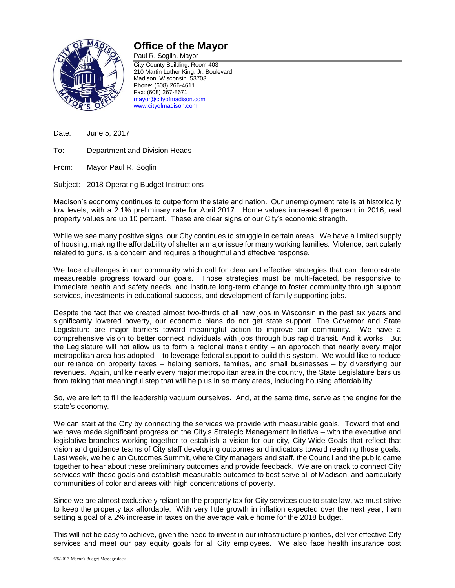

## **Office of the Mayor**

Paul R. Soglin, Mayor City-County Building, Room 403 210 Martin Luther King, Jr. Boulevard Madison, Wisconsin 53703 Phone: (608) 266-4611 Fax: (608) 267-8671 [mayor@cityofmadison.com](mailto:mayor@cityofmadison.com) [www.cityofmadison.com](http://www.cityofmadison.com/)

Date: June 5, 2017

To: Department and Division Heads

From: Mayor Paul R. Soglin

Subject: 2018 Operating Budget Instructions

Madison's economy continues to outperform the state and nation. Our unemployment rate is at historically low levels, with a 2.1% preliminary rate for April 2017. Home values increased 6 percent in 2016; real property values are up 10 percent. These are clear signs of our City's economic strength.

While we see many positive signs, our City continues to struggle in certain areas. We have a limited supply of housing, making the affordability of shelter a major issue for many working families. Violence, particularly related to guns, is a concern and requires a thoughtful and effective response.

We face challenges in our community which call for clear and effective strategies that can demonstrate measureable progress toward our goals. Those strategies must be multi-faceted, be responsive to immediate health and safety needs, and institute long-term change to foster community through support services, investments in educational success, and development of family supporting jobs.

Despite the fact that we created almost two-thirds of all new jobs in Wisconsin in the past six years and significantly lowered poverty, our economic plans do not get state support. The Governor and State Legislature are major barriers toward meaningful action to improve our community. We have a comprehensive vision to better connect individuals with jobs through bus rapid transit. And it works. But the Legislature will not allow us to form a regional transit entity – an approach that nearly every major metropolitan area has adopted – to leverage federal support to build this system. We would like to reduce our reliance on property taxes – helping seniors, families, and small businesses – by diversifying our revenues. Again, unlike nearly every major metropolitan area in the country, the State Legislature bars us from taking that meaningful step that will help us in so many areas, including housing affordability.

So, we are left to fill the leadership vacuum ourselves. And, at the same time, serve as the engine for the state's economy.

We can start at the City by connecting the services we provide with measurable goals. Toward that end, we have made significant progress on the City's Strategic Management Initiative – with the executive and legislative branches working together to establish a vision for our city, City-Wide Goals that reflect that vision and guidance teams of City staff developing outcomes and indicators toward reaching those goals. Last week, we held an Outcomes Summit, where City managers and staff, the Council and the public came together to hear about these preliminary outcomes and provide feedback. We are on track to connect City services with these goals and establish measurable outcomes to best serve all of Madison, and particularly communities of color and areas with high concentrations of poverty.

Since we are almost exclusively reliant on the property tax for City services due to state law, we must strive to keep the property tax affordable. With very little growth in inflation expected over the next year, I am setting a goal of a 2% increase in taxes on the average value home for the 2018 budget.

This will not be easy to achieve, given the need to invest in our infrastructure priorities, deliver effective City services and meet our pay equity goals for all City employees. We also face health insurance cost